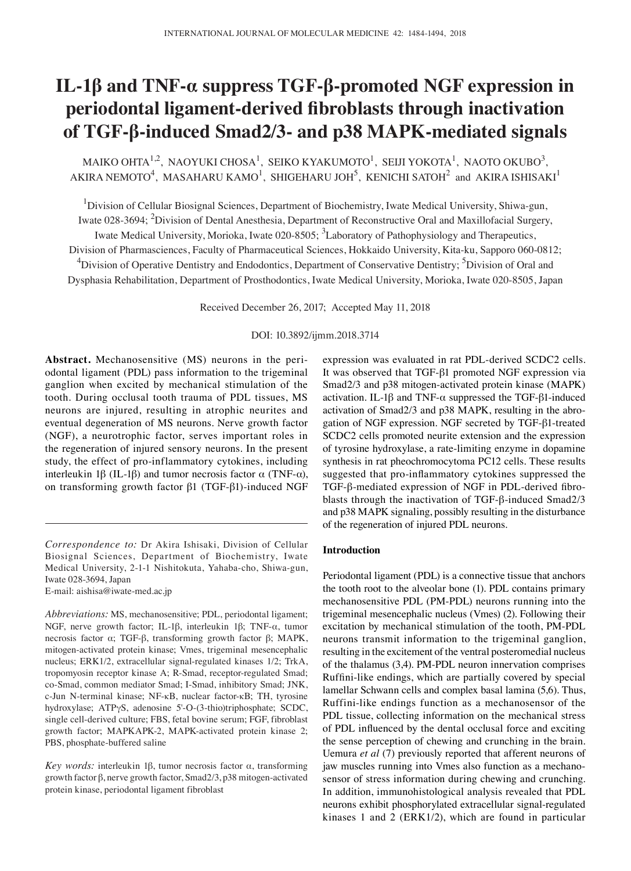# **IL‑1β and TNF‑α suppress TGF‑β‑promoted NGF expression in periodontal ligament‑derived fibroblasts through inactivation of TGF‑β‑induced Smad2/3‑ and p38 MAPK‑mediated signals**

MAIKO OHTA $^{1,2}$ , NAOYUKI CHOSA $^{1}$ , SEIKO KYAKUMOTO $^{1}$ , SEIJI YOKOTA $^{1}$ , NAOTO OKUBO $^{3}$ , AKIRA NEMOTO $^4$ , MASAHARU KAMO $^1$ , SHIGEHARU JOH $^5$ , KENICHI SATOH $^2$  and AKIRA ISHISAKI $^1$ 

<sup>1</sup>Division of Cellular Biosignal Sciences, Department of Biochemistry, Iwate Medical University, Shiwa-gun, Iwate 028-3694; <sup>2</sup>Division of Dental Anesthesia, Department of Reconstructive Oral and Maxillofacial Surgery, Iwate Medical University, Morioka, Iwate 020-8505; <sup>3</sup>Laboratory of Pathophysiology and Therapeutics, Division of Pharmasciences, Faculty of Pharmaceutical Sciences, Hokkaido University, Kita-ku, Sapporo 060-0812;

<sup>4</sup>Division of Operative Dentistry and Endodontics, Department of Conservative Dentistry; <sup>5</sup>Division of Oral and Dysphasia Rehabilitation, Department of Prosthodontics, Iwate Medical University, Morioka, Iwate 020-8505, Japan

Received December 26, 2017; Accepted May 11, 2018

# DOI: 10.3892/ijmm.2018.3714

**Abstract.** Mechanosensitive (MS) neurons in the periodontal ligament (PDL) pass information to the trigeminal ganglion when excited by mechanical stimulation of the tooth. During occlusal tooth trauma of PDL tissues, MS neurons are injured, resulting in atrophic neurites and eventual degeneration of MS neurons. Nerve growth factor (NGF), a neurotrophic factor, serves important roles in the regeneration of injured sensory neurons. In the present study, the effect of pro-inflammatory cytokines, including interleukin 1β (IL-1β) and tumor necrosis factor  $\alpha$  (TNF- $\alpha$ ), on transforming growth factor β1 (TGF-β1)-induced NGF

*Correspondence to:* Dr Akira Ishisaki, Division of Cellular Biosignal Sciences, Department of Biochemistry, Iwate Medical University, 2-1-1 Nishitokuta, Yahaba-cho, Shiwa-gun, Iwate 028-3694, Japan

E-mail: aishisa@iwate-med.ac.jp

expression was evaluated in rat PDL-derived SCDC2 cells. It was observed that TGF-β1 promoted NGF expression via Smad2/3 and p38 mitogen-activated protein kinase (MAPK) activation. IL-1β and TNF- $\alpha$  suppressed the TGF-β1-induced activation of Smad2/3 and p38 MAPK, resulting in the abrogation of NGF expression. NGF secreted by TGF-β1-treated SCDC2 cells promoted neurite extension and the expression of tyrosine hydroxylase, a rate-limiting enzyme in dopamine synthesis in rat pheochromocytoma PC12 cells. These results suggested that pro‑inflammatory cytokines suppressed the TGF-β‑mediated expression of NGF in PDL‑derived fibroblasts through the inactivation of TGF-β-induced Smad2/3 and p38 MAPK signaling, possibly resulting in the disturbance of the regeneration of injured PDL neurons.

#### **Introduction**

Periodontal ligament (PDL) is a connective tissue that anchors the tooth root to the alveolar bone (1). PDL contains primary mechanosensitive PDL (PM-PDL) neurons running into the trigeminal mesencephalic nucleus (Vmes) (2). Following their excitation by mechanical stimulation of the tooth, PM-PDL neurons transmit information to the trigeminal ganglion, resulting in the excitement of the ventral posteromedial nucleus of the thalamus (3,4). PM-PDL neuron innervation comprises Ruffini‑like endings, which are partially covered by special lamellar Schwann cells and complex basal lamina (5,6). Thus, Ruffini-like endings function as a mechanosensor of the PDL tissue, collecting information on the mechanical stress of PDL influenced by the dental occlusal force and exciting the sense perception of chewing and crunching in the brain. Uemura *et al* (7) previously reported that afferent neurons of jaw muscles running into Vmes also function as a mechanosensor of stress information during chewing and crunching. In addition, immunohistological analysis revealed that PDL neurons exhibit phosphorylated extracellular signal-regulated kinases 1 and 2 (ERK1/2), which are found in particular

*Abbreviations:* MS, mechanosensitive; PDL, periodontal ligament; NGF, nerve growth factor; IL-1β, interleukin 1β; TNF-α, tumor necrosis factor α; TGF-β, transforming growth factor β; MAPK, mitogen-activated protein kinase; Vmes, trigeminal mesencephalic nucleus; ERK1/2, extracellular signal-regulated kinases 1/2; TrkA, tropomyosin receptor kinase A; R-Smad, receptor-regulated Smad; co-Smad, common mediator Smad; I-Smad, inhibitory Smad; JNK, c-Jun N-terminal kinase; NF-κB, nuclear factor-κB; TH, tyrosine hydroxylase; ATPγS, adenosine 5'-O-(3-thio)triphosphate; SCDC, single cell-derived culture; FBS, fetal bovine serum; FGF, fibroblast growth factor; MAPKAPK-2, MAPK-activated protein kinase 2; PBS, phosphate-buffered saline

*Key words:* interleukin 1β, tumor necrosis factor α, transforming growth factor β, nerve growth factor, Smad2/3, p38 mitogen-activated protein kinase, periodontal ligament fibroblast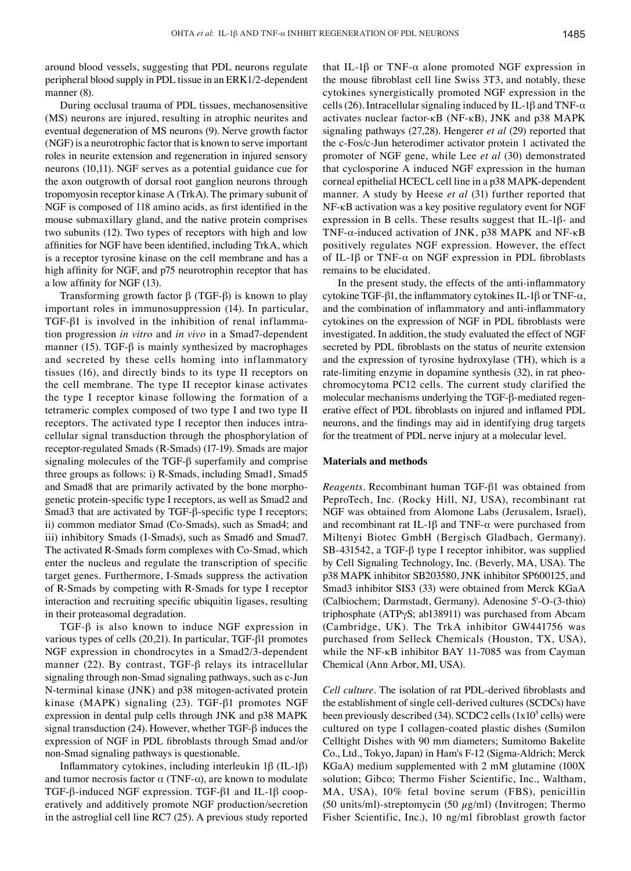around blood vessels, suggesting that PDL neurons regulate peripheral blood supply in PDL tissue in an ERK1/2-dependent manner (8).

During occlusal trauma of PDL tissues, mechanosensitive (MS) neurons are injured, resulting in atrophic neurites and eventual degeneration of MS neurons (9). Nerve growth factor (NGF) is a neurotrophic factor that is known to serve important roles in neurite extension and regeneration in injured sensory neurons (10,11). NGF serves as a potential guidance cue for the axon outgrowth of dorsal root ganglion neurons through tropomyosin receptor kinase A (TrkA). The primary subunit of NGF is composed of 118 amino acids, as first identified in the mouse submaxillary gland, and the native protein comprises two subunits (12). Two types of receptors with high and low affinities for NGF have been identified, including TrkA, which is a receptor tyrosine kinase on the cell membrane and has a high affinity for NGF, and p75 neurotrophin receptor that has a low affinity for NGF (13).

Transforming growth factor β (TGF-β) is known to play important roles in immunosuppression (14). In particular, TGF-β1 is involved in the inhibition of renal inflammation progression *in vitro* and *in vivo* in a Smad7-dependent manner (15). TGF- $\beta$  is mainly synthesized by macrophages and secreted by these cells homing into inflammatory tissues (16), and directly binds to its type II receptors on the cell membrane. The type II receptor kinase activates the type I receptor kinase following the formation of a tetrameric complex composed of two type I and two type II receptors. The activated type I receptor then induces intracellular signal transduction through the phosphorylation of receptor-regulated Smads (R-Smads) (17-19). Smads are major signaling molecules of the TGF-β superfamily and comprise three groups as follows: i) R-Smads, including Smad1, Smad5 and Smad8 that are primarily activated by the bone morphogenetic protein‑specific type I receptors, as well as Smad2 and Smad3 that are activated by TGF-β‑specific type I receptors; ii) common mediator Smad (Co-Smads), such as Smad4; and iii) inhibitory Smads (I-Smads), such as Smad6 and Smad7. The activated R-Smads form complexes with Co-Smad, which enter the nucleus and regulate the transcription of specific target genes. Furthermore, I-Smads suppress the activation of R-Smads by competing with R-Smads for type I receptor interaction and recruiting specific ubiquitin ligases, resulting in their proteasomal degradation.

TGF-β is also known to induce NGF expression in various types of cells (20,21). In particular, TGF-β1 promotes NGF expression in chondrocytes in a Smad2/3-dependent manner (22). By contrast, TGF-β relays its intracellular signaling through non-Smad signaling pathways, such as c-Jun N-terminal kinase (JNK) and p38 mitogen-activated protein kinase (MAPK) signaling (23). TGF-β1 promotes NGF expression in dental pulp cells through JNK and p38 MAPK signal transduction (24). However, whether TGF-β induces the expression of NGF in PDL fibroblasts through Smad and/or non‑Smad signaling pathways is questionable.

Inflammatory cytokines, including interleukin 1β (IL-1β) and tumor necrosis factor  $\alpha$  (TNF- $\alpha$ ), are known to modulate TGF-β-induced NGF expression. TGF-β1 and IL-1β cooperatively and additively promote NGF production/secretion in the astroglial cell line RC7 (25). A previous study reported that IL-1β or TNF- $α$  alone promoted NGF expression in the mouse fibroblast cell line Swiss 3T3, and notably, these cytokines synergistically promoted NGF expression in the cells (26). Intracellular signaling induced by IL-1 $\beta$  and TNF- $\alpha$ activates nuclear factor-κB (NF-κB), JNK and p38 MAPK signaling pathways (27,28). Hengerer *et al* (29) reported that the c-Fos/c-Jun heterodimer activator protein 1 activated the promoter of NGF gene, while Lee *et al* (30) demonstrated that cyclosporine A induced NGF expression in the human corneal epithelial HCECL cell line in a p38 MAPK-dependent manner. A study by Heese *et al* (31) further reported that NF-κB activation was a key positive regulatory event for NGF expression in B cells. These results suggest that IL-1β- and TNF-α-induced activation of JNK, p38 MAPK and NF-κB positively regulates NGF expression. However, the effect of IL-1β or TNF-α on NGF expression in PDL fibroblasts remains to be elucidated.

In the present study, the effects of the anti-inflammatory cytokine TGF-β1, the inflammatory cytokines IL‑1β or TNF-α, and the combination of inflammatory and anti-inflammatory cytokines on the expression of NGF in PDL fibroblasts were investigated. In addition, the study evaluated the effect of NGF secreted by PDL fibroblasts on the status of neurite extension and the expression of tyrosine hydroxylase (TH), which is a rate-limiting enzyme in dopamine synthesis (32), in rat pheochromocytoma PC12 cells. The current study clarified the molecular mechanisms underlying the TGF-β-mediated regenerative effect of PDL fibroblasts on injured and inflamed PDL neurons, and the findings may aid in identifying drug targets for the treatment of PDL nerve injury at a molecular level.

#### **Materials and methods**

*Reagents.* Recombinant human TGF-β1 was obtained from PeproTech, Inc. (Rocky Hill, NJ, USA), recombinant rat NGF was obtained from Alomone Labs (Jerusalem, Israel), and recombinant rat IL-1 $\beta$  and TNF- $\alpha$  were purchased from Miltenyi Biotec GmbH (Bergisch Gladbach, Germany). SB-431542, a TGF-β type I receptor inhibitor, was supplied by Cell Signaling Technology, Inc. (Beverly, MA, USA). The p38 MAPK inhibitor SB203580, JNK inhibitor SP600125, and Smad3 inhibitor SIS3 (33) were obtained from Merck KGaA (Calbiochem; Darmstadt, Germany). Adenosine 5'-O-(3-thio) triphosphate (ATPγS; ab138911) was purchased from Abcam (Cambridge, UK). The TrkA inhibitor GW441756 was purchased from Selleck Chemicals (Houston, TX, USA), while the NF-κB inhibitor BAY 11-7085 was from Cayman Chemical (Ann Arbor, MI, USA).

*Cell culture.* The isolation of rat PDL‑derived fibroblasts and the establishment of single cell-derived cultures (SCDCs) have been previously described  $(34)$ . SCDC2 cells  $(1x10<sup>5</sup>$  cells) were cultured on type I collagen-coated plastic dishes (Sumilon Celltight Dishes with 90 mm diameters; Sumitomo Bakelite Co., Ltd., Tokyo, Japan) in Ham's F-12 (Sigma-Aldrich; Merck KGaA) medium supplemented with 2 mM glutamine (100X solution; Gibco; Thermo Fisher Scientific, Inc., Waltham, MA, USA), 10% fetal bovine serum (FBS), penicillin (50 units/ml)-streptomycin (50  $\mu$ g/ml) (Invitrogen; Thermo Fisher Scientific, Inc.), 10 ng/ml fibroblast growth factor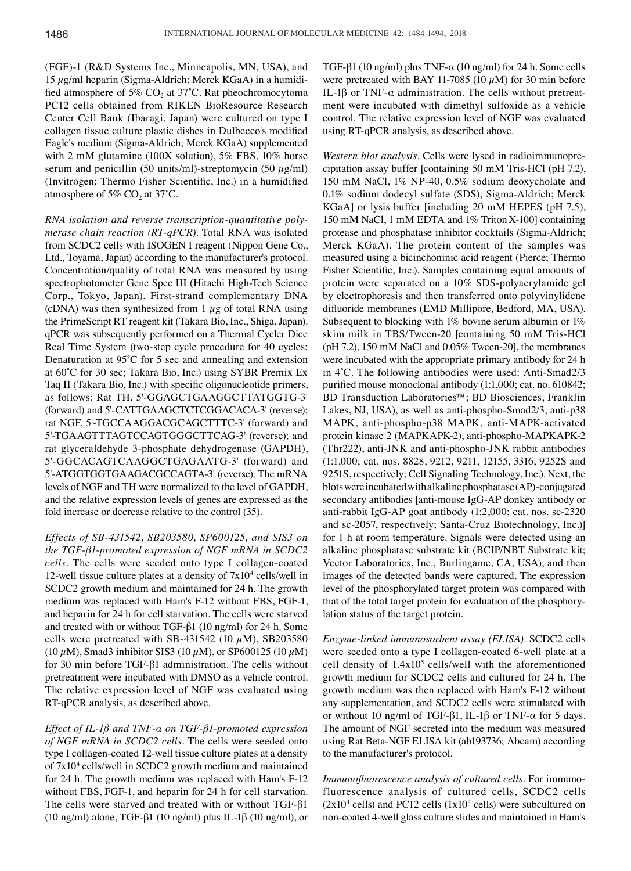(FGF)-1 (R&D Systems Inc., Minneapolis, MN, USA), and 15  $\mu$ g/ml heparin (Sigma-Aldrich; Merck KGaA) in a humidified atmosphere of 5%  $CO<sub>2</sub>$  at 37°C. Rat pheochromocytoma PC12 cells obtained from RIKEN BioResource Research Center Cell Bank (Ibaragi, Japan) were cultured on type I collagen tissue culture plastic dishes in Dulbecco's modified Eagle's medium (Sigma-Aldrich; Merck KGaA) supplemented with 2 mM glutamine (100X solution), 5% FBS, 10% horse serum and penicillin (50 units/ml)-streptomycin (50  $\mu$ g/ml) (Invitrogen; Thermo Fisher Scientific, Inc.) in a humidified atmosphere of 5%  $CO<sub>2</sub>$  at 37°C.

*RNA isolation and reverse transcription‑quantitative poly‑ merase chain reaction (RT‑qPCR).* Total RNA was isolated from SCDC2 cells with ISOGEN I reagent (Nippon Gene Co., Ltd., Toyama, Japan) according to the manufacturer's protocol. Concentration/quality of total RNA was measured by using spectrophotometer Gene Spec III (Hitachi High-Tech Science Corp., Tokyo, Japan). First-strand complementary DNA (cDNA) was then synthesized from 1  $\mu$ g of total RNA using the PrimeScript RT reagent kit (Takara Bio, Inc., Shiga, Japan). qPCR was subsequently performed on a Thermal Cycler Dice Real Time System (two-step cycle procedure for 40 cycles: Denaturation at 95˚C for 5 sec and annealing and extension at 60˚C for 30 sec; Takara Bio, Inc.) using SYBR Premix Ex Taq II (Takara Bio, Inc.) with specific oligonucleotide primers, as follows: Rat TH, 5'-GGAGCTGAAGGCTTATGGTG-3' (forward) and 5'‑CATTGAAGCTCTCGGACACA-3' (reverse); rat NGF, 5'-TGCCAAGGACGCAGCTTTC‑3' (forward) and 5'-TGAAGTTTAGTCCAGTGGGCTTCAG-3' (reverse); and rat glyceraldehyde 3-phosphate dehydrogenase (GAPDH), 5'-GGCACAGTCAAGGCTGAGAATG-3' (forward) and 5'-ATGGTGGTGAAGACGCCAGTA-3' (reverse). The mRNA levels of NGF and TH were normalized to the level of GAPDH, and the relative expression levels of genes are expressed as the fold increase or decrease relative to the control (35).

*Effects of SB‑431542, SB203580, SP600125, and SIS3 on the TGF‑β1‑promoted expression of NGF mRNA in SCDC2 cells.* The cells were seeded onto type I collagen-coated 12-well tissue culture plates at a density of  $7x10<sup>4</sup>$  cells/well in SCDC2 growth medium and maintained for 24 h. The growth medium was replaced with Ham's F-12 without FBS, FGF-1, and heparin for 24 h for cell starvation. The cells were starved and treated with or without TGF-β1 (10 ng/ml) for 24 h. Some cells were pretreated with SB-431542 (10  $\mu$ M), SB203580 (10  $\mu$ M), Smad3 inhibitor SIS3 (10  $\mu$ M), or SP600125 (10  $\mu$ M) for 30 min before TGF-β1 administration. The cells without pretreatment were incubated with DMSO as a vehicle control. The relative expression level of NGF was evaluated using RT‑qPCR analysis, as described above.

*Effect of IL‑1β and TNF‑α on TGF‑β1‑promoted expression of NGF mRNA in SCDC2 cells.* The cells were seeded onto type I collagen-coated 12-well tissue culture plates at a density of 7x104 cells/well in SCDC2 growth medium and maintained for 24 h. The growth medium was replaced with Ham's F-12 without FBS, FGF-1, and heparin for 24 h for cell starvation. The cells were starved and treated with or without TGF-β1 (10 ng/ml) alone, TGF-β1 (10 ng/ml) plus IL-1β (10 ng/ml), or TGF- $\beta$ 1 (10 ng/ml) plus TNF- $\alpha$  (10 ng/ml) for 24 h. Some cells were pretreated with BAY 11-7085 (10  $\mu$ M) for 30 min before IL-1β or TNF-α administration. The cells without pretreatment were incubated with dimethyl sulfoxide as a vehicle control. The relative expression level of NGF was evaluated using RT‑qPCR analysis, as described above.

*Western blot analysis.* Cells were lysed in radioimmunoprecipitation assay buffer [containing 50 mM Tris-HCl (pH 7.2), 150 mM NaCl, 1% NP-40, 0.5% sodium deoxycholate and 0.1% sodium dodecyl sulfate (SDS); Sigma-Aldrich; Merck KGaA] or lysis buffer [including 20 mM HEPES (pH 7.5), 150 mM NaCl, 1 mM EDTA and 1% Triton X-100] containing protease and phosphatase inhibitor cocktails (Sigma-Aldrich; Merck KGaA). The protein content of the samples was measured using a bicinchoninic acid reagent (Pierce; Thermo Fisher Scientific, Inc.). Samples containing equal amounts of protein were separated on a 10% SDS-polyacrylamide gel by electrophoresis and then transferred onto polyvinylidene difluoride membranes (EMD Millipore, Bedford, MA, USA). Subsequent to blocking with 1% bovine serum albumin or 1% skim milk in TBS/Tween-20 [containing 50 mM Tris-HCl (pH 7.2), 150 mM NaCl and 0.05% Tween-20], the membranes were incubated with the appropriate primary antibody for 24 h in 4˚C. The following antibodies were used: Anti‑Smad2/3 purified mouse monoclonal antibody (1:1,000; cat. no. 610842; BD Transduction Laboratories™; BD Biosciences, Franklin Lakes, NJ, USA), as well as anti-phospho-Smad2/3, anti-p38 MAPK, anti-phospho-p38 MAPK, anti-MAPK-activated protein kinase 2 (MAPKAPK-2), anti-phospho-MAPKAPK-2 (Thr222), anti-JNK and anti-phospho-JNK rabbit antibodies (1:1,000; cat. nos. 8828, 9212, 9211, 12155, 3316, 9252S and 9251S, respectively; Cell Signaling Technology, Inc.). Next, the blots were incubated with alkaline phosphatase (AP)-conjugated secondary antibodies [anti-mouse IgG-AP donkey antibody or anti-rabbit IgG-AP goat antibody (1:2,000; cat. nos. sc-2320 and sc-2057, respectively; Santa‑Cruz Biotechnology, Inc.)] for 1 h at room temperature. Signals were detected using an alkaline phosphatase substrate kit (BCIP/NBT Substrate kit; Vector Laboratories, Inc., Burlingame, CA, USA), and then images of the detected bands were captured. The expression level of the phosphorylated target protein was compared with that of the total target protein for evaluation of the phosphorylation status of the target protein.

*Enzyme‑linked immunosorbent assay (ELISA).* SCDC2 cells were seeded onto a type I collagen-coated 6-well plate at a cell density of  $1.4x10<sup>5</sup>$  cells/well with the aforementioned growth medium for SCDC2 cells and cultured for 24 h. The growth medium was then replaced with Ham's F-12 without any supplementation, and SCDC2 cells were stimulated with or without 10 ng/ml of TGF-β1, IL-1β or TNF-α for 5 days. The amount of NGF secreted into the medium was measured using Rat Beta-NGF ELISA kit (ab193736; Abcam) according to the manufacturer's protocol.

*Immunofluorescence analysis of cultured cells.* For immunofluorescence analysis of cultured cells, SCDC2 cells  $(2x10<sup>4</sup>$  cells) and PC12 cells  $(1x10<sup>4</sup>$  cells) were subcultured on non-coated 4-well glass culture slides and maintained in Ham's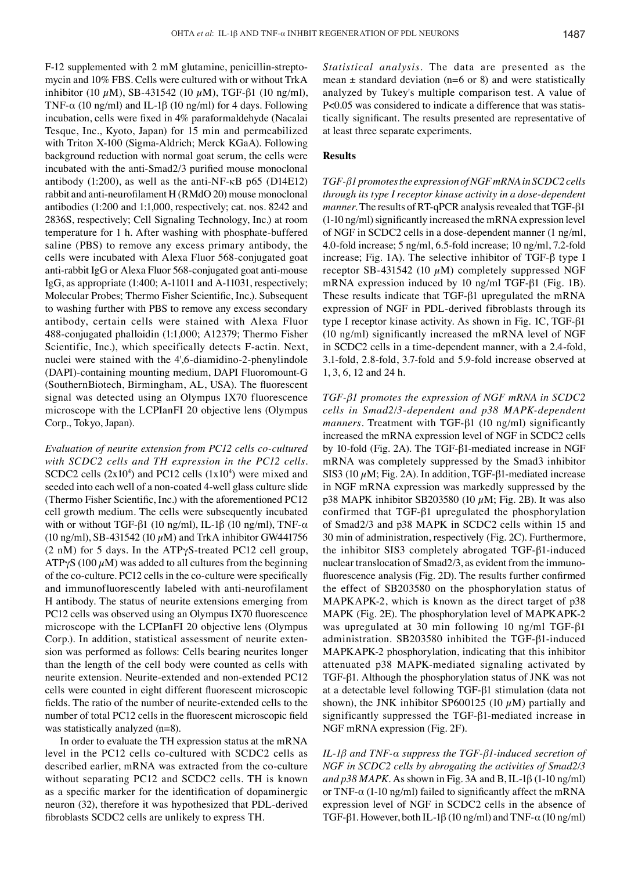F-12 supplemented with 2 mM glutamine, penicillin-streptomycin and 10% FBS. Cells were cultured with or without TrkA inhibitor (10  $μ$ M), SB-431542 (10  $μ$ M), TGF-β1 (10 ng/ml), TNF- $\alpha$  (10 ng/ml) and IL-1 $\beta$  (10 ng/ml) for 4 days. Following incubation, cells were fixed in 4% paraformaldehyde (Nacalai Tesque, Inc., Kyoto, Japan) for 15 min and permeabilized with Triton X-100 (Sigma-Aldrich; Merck KGaA). Following background reduction with normal goat serum, the cells were incubated with the anti-Smad2/3 purified mouse monoclonal antibody (1:200), as well as the anti-NF-κB p65 (D14E12) rabbit and anti‑neurofilament H (RMdO 20) mouse monoclonal antibodies (1:200 and 1:1,000, respectively; cat. nos. 8242 and 2836S, respectively; Cell Signaling Technology, Inc.) at room temperature for 1 h. After washing with phosphate-buffered saline (PBS) to remove any excess primary antibody, the cells were incubated with Alexa Fluor 568-conjugated goat anti-rabbit IgG or Alexa Fluor 568-conjugated goat anti-mouse IgG, as appropriate (1:400; A-11011 and A-11031, respectively; Molecular Probes; Thermo Fisher Scientific, Inc.). Subsequent to washing further with PBS to remove any excess secondary antibody, certain cells were stained with Alexa Fluor 488-conjugated phalloidin (1:1,000; A12379; Thermo Fisher Scientific, Inc.), which specifically detects F-actin. Next, nuclei were stained with the 4',6-diamidino-2-phenylindole (DAPI)-containing mounting medium, DAPI Fluoromount-G (SouthernBiotech, Birmingham, AL, USA). The fluorescent signal was detected using an Olympus IX70 fluorescence microscope with the LCPIanFI 20 objective lens (Olympus Corp., Tokyo, Japan).

*Evaluation of neurite extension from PC12 cells co‑cultured with SCDC2 cells and TH expression in the PC12 cells.*  SCDC2 cells  $(2x10<sup>4</sup>)$  and PC12 cells  $(1x10<sup>4</sup>)$  were mixed and seeded into each well of a non-coated 4-well glass culture slide (Thermo Fisher Scientific, Inc.) with the aforementioned PC12 cell growth medium. The cells were subsequently incubated with or without TGF-β1 (10 ng/ml), IL-1β (10 ng/ml), TNF- $α$ (10 ng/ml), SB-431542 (10  $\mu$ M) and TrkA inhibitor GW441756 (2 nM) for 5 days. In the ATPγS-treated PC12 cell group,  $ATP<sub>Y</sub>S$  (100  $\mu$ M) was added to all cultures from the beginning of the co‑culture. PC12 cells in the co‑culture were specifically and immunofluorescently labeled with anti-neurofilament H antibody. The status of neurite extensions emerging from PC12 cells was observed using an Olympus IX70 fluorescence microscope with the LCPIanFI 20 objective lens (Olympus Corp.). In addition, statistical assessment of neurite extension was performed as follows: Cells bearing neurites longer than the length of the cell body were counted as cells with neurite extension. Neurite-extended and non-extended PC12 cells were counted in eight different fluorescent microscopic fields. The ratio of the number of neurite‑extended cells to the number of total PC12 cells in the fluorescent microscopic field was statistically analyzed (n=8).

In order to evaluate the TH expression status at the mRNA level in the PC12 cells co-cultured with SCDC2 cells as described earlier, mRNA was extracted from the co-culture without separating PC12 and SCDC2 cells. TH is known as a specific marker for the identification of dopaminergic neuron (32), therefore it was hypothesized that PDL-derived fibroblasts SCDC2 cells are unlikely to express TH.

*Statistical analysis.* The data are presented as the mean  $\pm$  standard deviation (n=6 or 8) and were statistically analyzed by Tukey's multiple comparison test. A value of P<0.05 was considered to indicate a difference that was statistically significant. The results presented are representative of at least three separate experiments.

# **Results**

*TGF‑β1 promotes the expression of NGF mRNA in SCDC2 cells through its type I receptor kinase activity in a dose‑dependent manner*. The results of RT-qPCR analysis revealed that TGF-β1 (1-10 ng/ml) significantly increased the mRNA expression level of NGF in SCDC2 cells in a dose-dependent manner (1 ng/ml, 4.0-fold increase; 5 ng/ml, 6.5-fold increase; 10 ng/ml, 7.2-fold increase; Fig. 1A). The selective inhibitor of TGF-β type I receptor SB-431542 (10  $\mu$ M) completely suppressed NGF mRNA expression induced by 10 ng/ml TGF-β1 (Fig. 1B). These results indicate that TGF-β1 upregulated the mRNA expression of NGF in PDL-derived fibroblasts through its type I receptor kinase activity. As shown in Fig. 1C, TGF-β1 (10 ng/ml) significantly increased the mRNA level of NGF in SCDC2 cells in a time-dependent manner, with a 2.4-fold, 3.1-fold, 2.8-fold, 3.7-fold and 5.9-fold increase observed at 1, 3, 6, 12 and 24 h.

*TGF‑β1 promotes the expression of NGF mRNA in SCDC2 cells in Smad2/3‑dependent and p38 MAPK‑dependent manners.* Treatment with TGF-β1 (10 ng/ml) significantly increased the mRNA expression level of NGF in SCDC2 cells by 10-fold (Fig. 2A). The TGF-β1-mediated increase in NGF mRNA was completely suppressed by the Smad3 inhibitor SIS3 (10  $\mu$ M; Fig. 2A). In addition, TGF- $\beta$ 1-mediated increase in NGF mRNA expression was markedly suppressed by the p38 MAPK inhibitor SB203580 (10  $\mu$ M; Fig. 2B). It was also confirmed that TGF-β1 upregulated the phosphorylation of Smad2/3 and p38 MAPK in SCDC2 cells within 15 and 30 min of administration, respectively (Fig. 2C). Furthermore, the inhibitor SIS3 completely abrogated TGF-β1-induced nuclear translocation of Smad2/3, as evident from the immunofluorescence analysis (Fig. 2D). The results further confirmed the effect of SB203580 on the phosphorylation status of MAPKAPK-2, which is known as the direct target of p38 MAPK (Fig. 2E). The phosphorylation level of MAPKAPK-2 was upregulated at 30 min following 10 ng/ml TGF-β1 administration. SB203580 inhibited the TGF-β1-induced MAPKAPK-2 phosphorylation, indicating that this inhibitor attenuated p38 MAPK-mediated signaling activated by TGF-β1. Although the phosphorylation status of JNK was not at a detectable level following TGF-β1 stimulation (data not shown), the JNK inhibitor SP600125 (10  $\mu$ M) partially and significantly suppressed the TGF-β1-mediated increase in NGF mRNA expression (Fig. 2F).

*IL‑1β and TNF‑α suppress the TGF‑β1‑induced secretion of NGF in SCDC2 cells by abrogating the activities of Smad2/3 and p38 MAPK.* As shown in Fig. 3A and B, IL-1β (1-10 ng/ml) or TNF- $\alpha$  (1-10 ng/ml) failed to significantly affect the mRNA expression level of NGF in SCDC2 cells in the absence of TGF-β1. However, both IL-1β (10 ng/ml) and TNF- $\alpha$  (10 ng/ml)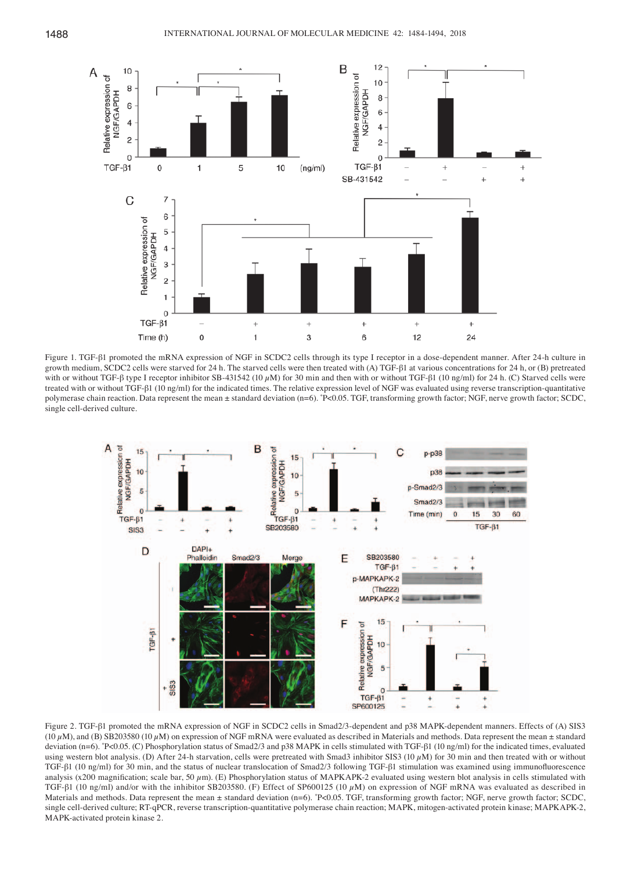

Figure 1. TGF-β1 promoted the mRNA expression of NGF in SCDC2 cells through its type I receptor in a dose-dependent manner. After 24-h culture in growth medium, SCDC2 cells were starved for 24 h. The starved cells were then treated with (A) TGF-β1 at various concentrations for 24 h, or (B) pretreated with or without TGF-β type I receptor inhibitor SB-431542 (10  $μ$ M) for 30 min and then with or without TGF-β1 (10 ng/ml) for 24 h. (C) Starved cells were treated with or without TGF-β1 (10 ng/ml) for the indicated times. The relative expression level of NGF was evaluated using reverse transcription-quantitative polymerase chain reaction. Data represent the mean ± standard deviation (n=6). \* P<0.05. TGF, transforming growth factor; NGF, nerve growth factor; SCDC, single cell-derived culture.



Figure 2. TGF-β1 promoted the mRNA expression of NGF in SCDC2 cells in Smad2/3-dependent and p38 MAPK-dependent manners. Effects of (A) SIS3 (10  $\mu$ M), and (B) SB203580 (10  $\mu$ M) on expression of NGF mRNA were evaluated as described in Materials and methods. Data represent the mean ± standard deviation (n=6). \* P<0.05. (C) Phosphorylation status of Smad2/3 and p38 MAPK in cells stimulated with TGF-β1 (10 ng/ml) for the indicated times, evaluated using western blot analysis. (D) After 24-h starvation, cells were pretreated with Smad3 inhibitor SIS3 (10  $\mu$ M) for 30 min and then treated with or without TGF-β1 (10 ng/ml) for 30 min, and the status of nuclear translocation of Smad2/3 following TGF-β1 stimulation was examined using immunofluorescence analysis (x200 magnification; scale bar, 50  $\mu$ m). (E) Phosphorylation status of MAPKAPK-2 evaluated using western blot analysis in cells stimulated with TGF-β1 (10 ng/ml) and/or with the inhibitor SB203580. (F) Effect of SP600125 (10  $\mu$ M) on expression of NGF mRNA was evaluated as described in Materials and methods. Data represent the mean ± standard deviation (n=6). "P<0.05. TGF, transforming growth factor; NGF, nerve growth factor; SCDC, single cell-derived culture; RT-qPCR, reverse transcription-quantitative polymerase chain reaction; MAPK, mitogen-activated protein kinase; MAPKAPK-2, MAPK-activated protein kinase 2.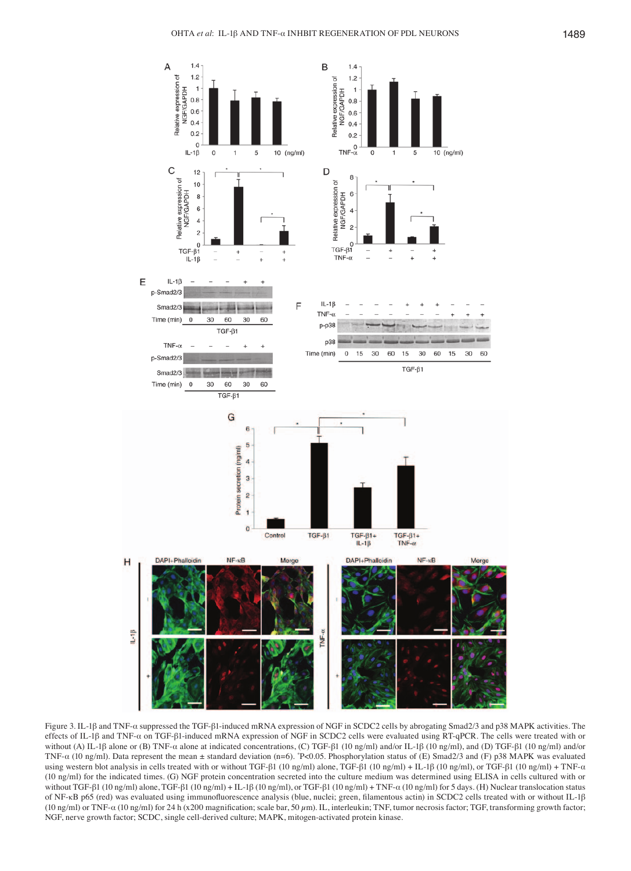

Figure 3. IL-1β and TNF-α suppressed the TGF-β1-induced mRNA expression of NGF in SCDC2 cells by abrogating Smad2/3 and p38 MAPK activities. The effects of IL-1β and TNF-α on TGF-β1‑induced mRNA expression of NGF in SCDC2 cells were evaluated using RT‑qPCR. The cells were treated with or without (A) IL-1β alone or (B) TNF-α alone at indicated concentrations, (C) TGF-β1 (10 ng/ml) and/or IL-1β (10 ng/ml), and (D) TGF-β1 (10 ng/ml) and/or TNF-α (10 ng/ml). Data represent the mean ± standard deviation (n=6). \* P<0.05. Phosphorylation status of (E) Smad2/3 and (F) p38 MAPK was evaluated using western blot analysis in cells treated with or without TGF-β1 (10 ng/ml) alone, TGF-β1 (10 ng/ml) + IL-1β (10 ng/ml), or TGF-β1 (10 ng/ml) + TNF- $\alpha$ (10 ng/ml) for the indicated times. (G) NGF protein concentration secreted into the culture medium was determined using ELISA in cells cultured with or without TGF-β1 (10 ng/ml) alone, TGF-β1 (10 ng/ml) + IL-1β (10 ng/ml), or TGF-β1 (10 ng/ml) + TNF-α (10 ng/ml) for 5 days. (H) Nuclear translocation status of NF-κB p65 (red) was evaluated using immunofluorescence analysis (blue, nuclei; green, filamentous actin) in SCDC2 cells treated with or without IL‑1β (10 ng/ml) or TNF- $\alpha$  (10 ng/ml) for 24 h (x200 magnification; scale bar, 50  $\mu$ m). IL, interleukin; TNF, tumor necrosis factor; TGF, transforming growth factor; NGF, nerve growth factor; SCDC, single cell-derived culture; MAPK, mitogen-activated protein kinase.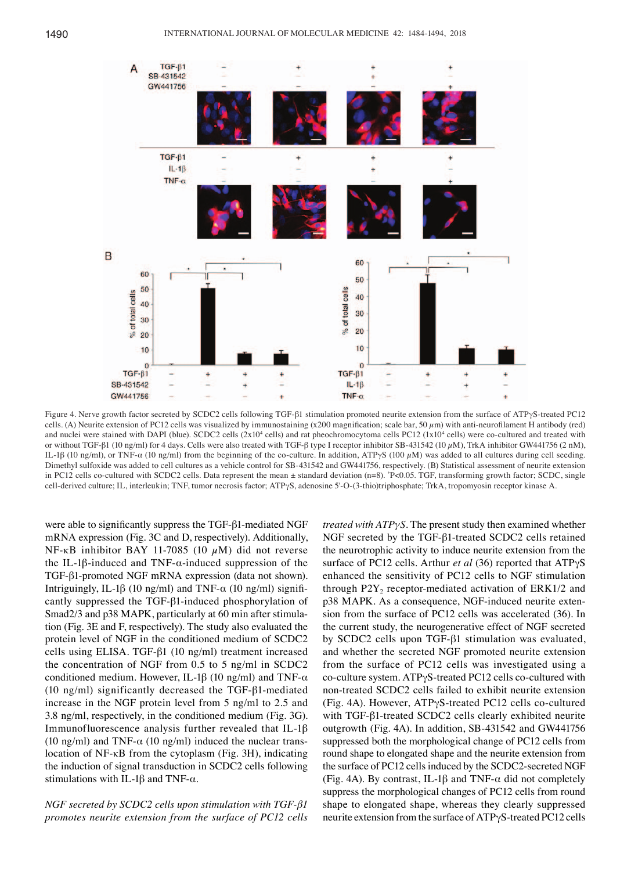

Figure 4. Nerve growth factor secreted by SCDC2 cells following TGF-β1 stimulation promoted neurite extension from the surface of ATPγS-treated PC12 cells. (A) Neurite extension of PC12 cells was visualized by immunostaining (x200 magnification; scale bar, 50  $\mu$ m) with anti-neurofilament H antibody (red) and nuclei were stained with DAPI (blue). SCDC2 cells  $(2x10<sup>4</sup>$  cells) and rat pheochromocytoma cells PC12  $(1x10<sup>4</sup>$  cells) were co-cultured and treated with or without TGF-β1 (10 ng/ml) for 4 days. Cells were also treated with TGF-β type I receptor inhibitor SB-431542 (10  $\mu$ M), TrkA inhibitor GW441756 (2 nM), IL-1β (10 ng/ml), or TNF-α (10 ng/ml) from the beginning of the co-culture. In addition, ATPγS (100 µM) was added to all cultures during cell seeding. Dimethyl sulfoxide was added to cell cultures as a vehicle control for SB-431542 and GW441756, respectively. (B) Statistical assessment of neurite extension in PC12 cells co-cultured with SCDC2 cells. Data represent the mean ± standard deviation (n=8). \* P<0.05. TGF, transforming growth factor; SCDC, single cell-derived culture; IL, interleukin; TNF, tumor necrosis factor; ATPγS, adenosine 5'-O-(3-thio)triphosphate; TrkA, tropomyosin receptor kinase A.

were able to significantly suppress the TGF‑β1-mediated NGF mRNA expression (Fig. 3C and D, respectively). Additionally, NF-κB inhibitor BAY 11-7085 (10  $μM$ ) did not reverse the IL-1 $\beta$ -induced and TNF- $\alpha$ -induced suppression of the TGF-β1-promoted NGF mRNA expression (data not shown). Intriguingly, IL-1β (10 ng/ml) and TNF-α (10 ng/ml) significantly suppressed the TGF-β1-induced phosphorylation of Smad2/3 and p38 MAPK, particularly at 60 min after stimulation (Fig. 3E and F, respectively). The study also evaluated the protein level of NGF in the conditioned medium of SCDC2 cells using ELISA. TGF-β1 (10 ng/ml) treatment increased the concentration of NGF from 0.5 to 5 ng/ml in SCDC2 conditioned medium. However, IL-1β (10 ng/ml) and TNF- $α$ (10 ng/ml) significantly decreased the TGF-β1-mediated increase in the NGF protein level from 5 ng/ml to 2.5 and 3.8 ng/ml, respectively, in the conditioned medium (Fig. 3G). Immunofluorescence analysis further revealed that IL-1β (10 ng/ml) and TNF- $\alpha$  (10 ng/ml) induced the nuclear translocation of NF-κB from the cytoplasm (Fig. 3H), indicating the induction of signal transduction in SCDC2 cells following stimulations with IL-1β and TNF- $α$ .

*NGF secreted by SCDC2 cells upon stimulation with TGF‑β1 promotes neurite extension from the surface of PC12 cells*  *treated with ATPγS.* The present study then examined whether NGF secreted by the TGF-β1-treated SCDC2 cells retained the neurotrophic activity to induce neurite extension from the surface of PC12 cells. Arthur *et al* (36) reported that ATPγS enhanced the sensitivity of PC12 cells to NGF stimulation through  $P2Y$ , receptor-mediated activation of  $ERK1/2$  and p38 MAPK. As a consequence, NGF‑induced neurite extension from the surface of PC12 cells was accelerated (36). In the current study, the neurogenerative effect of NGF secreted by SCDC2 cells upon TGF-β1 stimulation was evaluated, and whether the secreted NGF promoted neurite extension from the surface of PC12 cells was investigated using a co-culture system. ATPγS-treated PC12 cells co-cultured with non-treated SCDC2 cells failed to exhibit neurite extension (Fig. 4A). However, ATPγS-treated PC12 cells co-cultured with TGF-β1-treated SCDC2 cells clearly exhibited neurite outgrowth (Fig. 4A). In addition, SB-431542 and GW441756 suppressed both the morphological change of PC12 cells from round shape to elongated shape and the neurite extension from the surface of PC12 cells induced by the SCDC2-secreted NGF (Fig. 4A). By contrast, IL-1 $\beta$  and TNF- $\alpha$  did not completely suppress the morphological changes of PC12 cells from round shape to elongated shape, whereas they clearly suppressed neurite extension from the surface of ATPγS-treated PC12 cells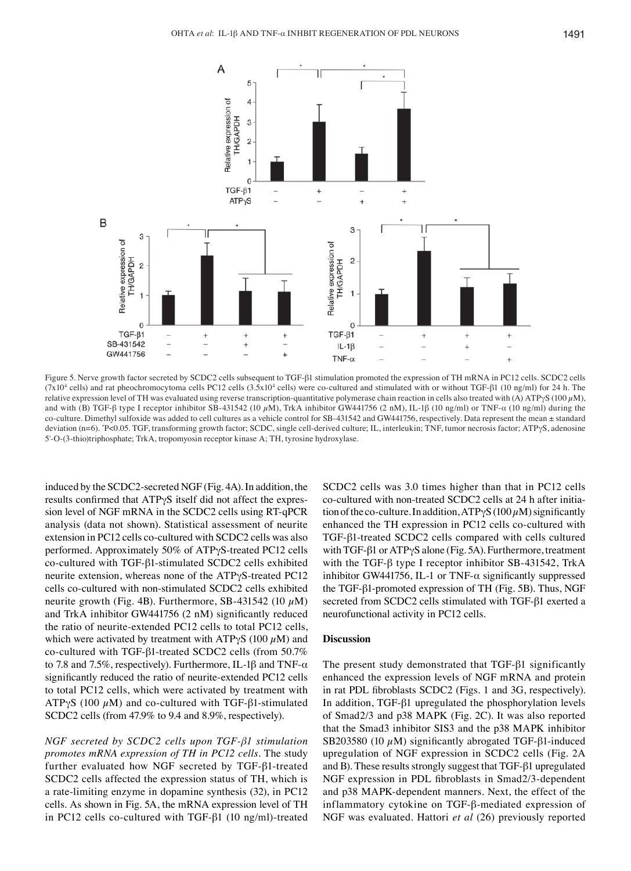

Figure 5. Nerve growth factor secreted by SCDC2 cells subsequent to TGF‑β1 stimulation promoted the expression of TH mRNA in PC12 cells. SCDC2 cells (7x104 cells) and rat pheochromocytoma cells PC12 cells (3.5x104 cells) were co-cultured and stimulated with or without TGF-β1 (10 ng/ml) for 24 h. The relative expression level of TH was evaluated using reverse transcription-quantitative polymerase chain reaction in cells also treated with (A) ATPγS (100 µM), and with (B) TGF-β type I receptor inhibitor SB-431542 (10 μM), TrkA inhibitor GW441756 (2 nM), IL-1β (10 ng/ml) or TNF-α (10 ng/ml) during the co-culture. Dimethyl sulfoxide was added to cell cultures as a vehicle control for SB-431542 and GW441756, respectively. Data represent the mean ± standard deviation (n=6). \* P<0.05. TGF, transforming growth factor; SCDC, single cell-derived culture; IL, interleukin; TNF, tumor necrosis factor; ATPγS, adenosine 5'-O-(3-thio)triphosphate; TrkA, tropomyosin receptor kinase A; TH, tyrosine hydroxylase.

induced by the SCDC2-secreted NGF (Fig. 4A). In addition, the results confirmed that ATPγS itself did not affect the expression level of NGF mRNA in the SCDC2 cells using RT‑qPCR analysis (data not shown). Statistical assessment of neurite extension in PC12 cells co-cultured with SCDC2 cells was also performed. Approximately 50% of ATPγS-treated PC12 cells co-cultured with TGF-β1-stimulated SCDC2 cells exhibited neurite extension, whereas none of the ATPγS-treated PC12 cells co-cultured with non-stimulated SCDC2 cells exhibited neurite growth (Fig. 4B). Furthermore, SB-431542 (10  $\mu$ M) and TrkA inhibitor GW441756 (2 nM) significantly reduced the ratio of neurite-extended PC12 cells to total PC12 cells, which were activated by treatment with ATP $\gamma$ S (100  $\mu$ M) and co-cultured with TGF-β1-treated SCDC2 cells (from 50.7% to 7.8 and 7.5*%*, respectively). Furthermore, IL-1β and TNF-α significantly reduced the ratio of neurite-extended PC12 cells to total PC12 cells, which were activated by treatment with ATPγS (100  $\mu$ M) and co-cultured with TGF-β1-stimulated SCDC2 cells (from 47.9% to 9.4 and 8.9%, respectively).

*NGF secreted by SCDC2 cells upon TGF‑β1 stimulation promotes mRNA expression of TH in PC12 cells.* The study further evaluated how NGF secreted by TGF-β1-treated SCDC2 cells affected the expression status of TH, which is a rate-limiting enzyme in dopamine synthesis (32), in PC12 cells. As shown in Fig. 5A, the mRNA expression level of TH in PC12 cells co-cultured with TGF-β1 (10 ng/ml)-treated SCDC2 cells was 3.0 times higher than that in PC12 cells co-cultured with non-treated SCDC2 cells at 24 h after initiation of the co-culture. In addition,  $ATP\gamma S(100 \mu M)$  significantly enhanced the TH expression in PC12 cells co-cultured with TGF-β1-treated SCDC2 cells compared with cells cultured with TGF-β1 or ATPγS alone (Fig. 5A). Furthermore, treatment with the TGF-β type I receptor inhibitor SB-431542, TrkA inhibitor GW441756, IL-1 or TNF- $\alpha$  significantly suppressed the TGF-β1-promoted expression of TH (Fig. 5B). Thus, NGF secreted from SCDC2 cells stimulated with TGF-β1 exerted a neurofunctional activity in PC12 cells.

## **Discussion**

The present study demonstrated that TGF-β1 significantly enhanced the expression levels of NGF mRNA and protein in rat PDL fibroblasts SCDC2 (Figs. 1 and 3G, respectively). In addition, TGF-β1 upregulated the phosphorylation levels of Smad2/3 and p38 MAPK (Fig. 2C). It was also reported that the Smad3 inhibitor SIS3 and the p38 MAPK inhibitor SB203580 (10  $\mu$ M) significantly abrogated TGF- $\beta$ 1-induced upregulation of NGF expression in SCDC2 cells (Fig. 2A and B). These results strongly suggest that TGF-β1 upregulated NGF expression in PDL fibroblasts in Smad2/3‑dependent and p38 MAPK-dependent manners. Next, the effect of the inflammatory cytokine on TGF-β-mediated expression of NGF was evaluated. Hattori *et al* (26) previously reported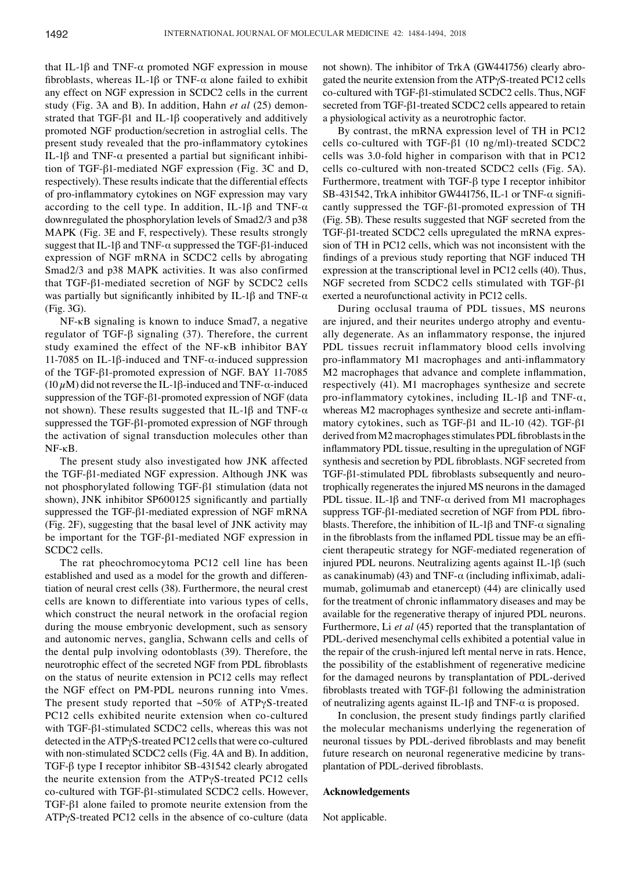that IL-1β and TNF- $α$  promoted NGF expression in mouse fibroblasts, whereas IL-1 $\beta$  or TNF- $\alpha$  alone failed to exhibit any effect on NGF expression in SCDC2 cells in the current study (Fig. 3A and B). In addition, Hahn *et al* (25) demonstrated that TGF-β1 and IL-1β cooperatively and additively promoted NGF production/secretion in astroglial cells. The present study revealed that the pro‑inflammatory cytokines IL-1β and TNF-α presented a partial but significant inhibition of TGF-β1-mediated NGF expression (Fig. 3C and D, respectively). These results indicate that the differential effects of pro‑inflammatory cytokines on NGF expression may vary according to the cell type. In addition, IL-1 $\beta$  and TNF- $\alpha$ downregulated the phosphorylation levels of Smad2/3 and p38 MAPK (Fig. 3E and F, respectively). These results strongly suggest that IL-1 $\beta$  and TNF- $\alpha$  suppressed the TGF- $\beta$ 1-induced expression of NGF mRNA in SCDC2 cells by abrogating Smad2/3 and p38 MAPK activities. It was also confirmed that TGF-β1-mediated secretion of NGF by SCDC2 cells was partially but significantly inhibited by IL-1 $\beta$  and TNF- $\alpha$ (Fig. 3G).

NF-κB signaling is known to induce Smad7, a negative regulator of TGF-β signaling (37). Therefore, the current study examined the effect of the NF-κB inhibitor BAY 11-7085 on IL-1β-induced and TNF-α-induced suppression of the TGF-β1-promoted expression of NGF. BAY 11-7085 ( $10 \mu$ M) did not reverse the IL-1 $\beta$ -induced and TNF- $\alpha$ -induced suppression of the TGF-β1-promoted expression of NGF (data not shown). These results suggested that IL-1β and TNF- $α$ suppressed the TGF-β1-promoted expression of NGF through the activation of signal transduction molecules other than NF-κB.

The present study also investigated how JNK affected the TGF-β1-mediated NGF expression. Although JNK was not phosphorylated following TGF-β1 stimulation (data not shown), JNK inhibitor SP600125 significantly and partially suppressed the TGF-β1-mediated expression of NGF mRNA (Fig. 2F), suggesting that the basal level of JNK activity may be important for the TGF-β1-mediated NGF expression in SCDC2 cells.

The rat pheochromocytoma PC12 cell line has been established and used as a model for the growth and differentiation of neural crest cells (38). Furthermore, the neural crest cells are known to differentiate into various types of cells, which construct the neural network in the orofacial region during the mouse embryonic development, such as sensory and autonomic nerves, ganglia, Schwann cells and cells of the dental pulp involving odontoblasts (39). Therefore, the neurotrophic effect of the secreted NGF from PDL fibroblasts on the status of neurite extension in PC12 cells may reflect the NGF effect on PM-PDL neurons running into Vmes. The present study reported that  $~50\%$  of ATP $\gamma$ S-treated PC12 cells exhibited neurite extension when co-cultured with TGF-β1-stimulated SCDC2 cells, whereas this was not detected in the ATPγS-treated PC12 cells that were co-cultured with non-stimulated SCDC2 cells (Fig. 4A and B). In addition, TGF-β type I receptor inhibitor SB-431542 clearly abrogated the neurite extension from the ATPγS-treated PC12 cells co-cultured with TGF-β1-stimulated SCDC2 cells. However, TGF-β1 alone failed to promote neurite extension from the ATPγS-treated PC12 cells in the absence of co-culture (data not shown). The inhibitor of TrkA (GW441756) clearly abrogated the neurite extension from the ATPγS-treated PC12 cells co-cultured with TGF-β1-stimulated SCDC2 cells. Thus, NGF secreted from TGF-β1-treated SCDC2 cells appeared to retain a physiological activity as a neurotrophic factor.

By contrast, the mRNA expression level of TH in PC12 cells co-cultured with TGF-β1 (10 ng/ml)-treated SCDC2 cells was 3.0-fold higher in comparison with that in PC12 cells co-cultured with non-treated SCDC2 cells (Fig. 5A). Furthermore, treatment with TGF-β type I receptor inhibitor SB-431542, TrkA inhibitor GW441756, IL-1 or TNF- $\alpha$  significantly suppressed the TGF-β1-promoted expression of TH (Fig. 5B). These results suggested that NGF secreted from the TGF-β1-treated SCDC2 cells upregulated the mRNA expression of TH in PC12 cells, which was not inconsistent with the findings of a previous study reporting that NGF induced TH expression at the transcriptional level in PC12 cells (40). Thus, NGF secreted from SCDC2 cells stimulated with TGF-β1 exerted a neurofunctional activity in PC12 cells.

During occlusal trauma of PDL tissues, MS neurons are injured, and their neurites undergo atrophy and eventually degenerate. As an inflammatory response, the injured PDL tissues recruit inflammatory blood cells involving pro-inflammatory M1 macrophages and anti-inflammatory M2 macrophages that advance and complete inflammation, respectively (41). M1 macrophages synthesize and secrete pro-inflammatory cytokines, including IL-1 $\beta$  and TNF- $\alpha$ , whereas M2 macrophages synthesize and secrete anti-inflammatory cytokines, such as TGF-β1 and IL-10 (42). TGF-β1 derived from M2 macrophages stimulates PDL fibroblasts in the inflammatory PDL tissue, resulting in the upregulation of NGF synthesis and secretion by PDL fibroblasts. NGF secreted from TGF-β1‑stimulated PDL fibroblasts subsequently and neurotrophically regenerates the injured MS neurons in the damaged PDL tissue. IL-1β and TNF- $\alpha$  derived from M1 macrophages suppress TGF-β1‑mediated secretion of NGF from PDL fibroblasts. Therefore, the inhibition of IL-1 $\beta$  and TNF- $\alpha$  signaling in the fibroblasts from the inflamed PDL tissue may be an efficient therapeutic strategy for NGF-mediated regeneration of injured PDL neurons. Neutralizing agents against IL-1β (such as canakinumab) (43) and TNF- $\alpha$  (including infliximab, adalimumab, golimumab and etanercept) (44) are clinically used for the treatment of chronic inflammatory diseases and may be available for the regenerative therapy of injured PDL neurons. Furthermore, Li *et al* (45) reported that the transplantation of PDL-derived mesenchymal cells exhibited a potential value in the repair of the crush-injured left mental nerve in rats. Hence, the possibility of the establishment of regenerative medicine for the damaged neurons by transplantation of PDL-derived fibroblasts treated with TGF‑β1 following the administration of neutralizing agents against IL-1β and TNF-α is proposed.

In conclusion, the present study findings partly clarified the molecular mechanisms underlying the regeneration of neuronal tissues by PDL‑derived fibroblasts and may benefit future research on neuronal regenerative medicine by transplantation of PDL‑derived fibroblasts.

### **Acknowledgements**

Not applicable.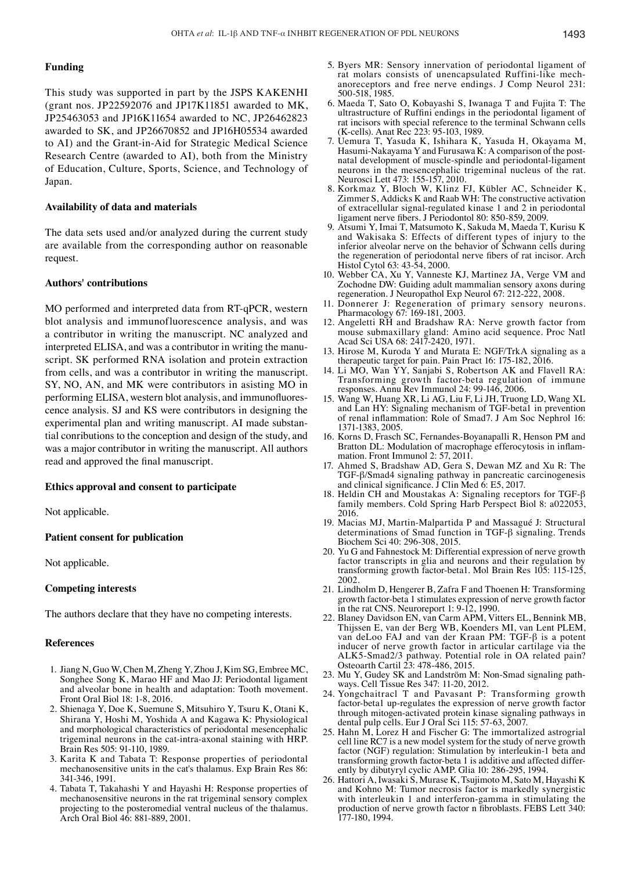# **Funding**

This study was supported in part by the JSPS KAKENHI (grant nos. JP22592076 and JP17K11851 awarded to MK, JP25463053 and JP16K11654 awarded to NC, JP26462823 awarded to SK, and JP26670852 and JP16H05534 awarded to AI) and the Grant-in-Aid for Strategic Medical Science Research Centre (awarded to AI), both from the Ministry of Education, Culture, Sports, Science, and Technology of Japan.

## **Availability of data and materials**

The data sets used and/or analyzed during the current study are available from the corresponding author on reasonable request.

## **Authors' contributions**

MO performed and interpreted data from RT‑qPCR, western blot analysis and immunofluorescence analysis, and was a contributor in writing the manuscript. NC analyzed and interpreted ELISA, and was a contributor in writing the manuscript. SK performed RNA isolation and protein extraction from cells, and was a contributor in writing the manuscript. SY, NO, AN, and MK were contributors in asisting MO in performing ELISA, western blot analysis, and immunofluorescence analysis. SJ and KS were contributors in designing the experimental plan and writing manuscript. AI made substantial conributions to the conception and design of the study, and was a major contributor in writing the manuscript. All authors read and approved the final manuscript.

#### **Ethics approval and consent to participate**

Not applicable.

## **Patient consent for publication**

Not applicable.

## **Competing interests**

The authors declare that they have no competing interests.

## **References**

- 1. Jiang N, Guo W, Chen M, Zheng Y, Zhou J, Kim SG, Embree MC, Songhee Song K, Marao HF and Mao JJ: Periodontal ligament and alveolar bone in health and adaptation: Tooth movement. Front Oral Biol 18: 1-8, 2016.
- 2. Shienaga Y, Doe K, Suemune S, Mitsuhiro Y, Tsuru K, Otani K, Shirana Y, Hoshi M, Yoshida A and Kagawa K: Physiological and morphological characteristics of periodontal mesencephalic trigeminal neurons in the cat-intra-axonal staining with HRP. Brain Res 505: 91-110, 1989.
- 3. Karita K and Tabata T: Response properties of periodontal mechanosensitive units in the cat's thalamus. Exp Brain Res 86: 341-346, 1991.
- 4. Tabata T, Takahashi Y and Hayashi H: Response properties of mechanosensitive neurons in the rat trigeminal sensory complex projecting to the posteromedial ventral nucleus of the thalamus. Arch Oral Biol 46: 881-889, 2001.
- 5. Byers MR: Sensory innervation of periodontal ligament of rat molars consists of unencapsulated Ruffini-like mechanoreceptors and free nerve endings. J Comp Neurol 231: 500-518, 1985.
- 6. Maeda T, Sato O, Kobayashi S, Iwanaga T and Fujita T: The ultrastructure of Ruffini endings in the periodontal ligament of rat incisors with special reference to the terminal Schwann cells (K-cells). Anat Rec 223: 95-103, 1989.
- 7. Uemura T, Yasuda K, Ishihara K, Yasuda H, Okayama M, Hasumi-Nakayama Y and Furusawa K: A comparison of the postnatal development of muscle-spindle and periodontal-ligament neurons in the mesencephalic trigeminal nucleus of the rat. Neurosci Lett 473: 155-157, 2010.
- 8. Korkmaz Y, Bloch W, Klinz FJ, Kübler AC, Schneider K, Zimmer S, Addicks K and Raab WH: The constructive activation of extracellular signal-regulated kinase 1 and 2 in periodontal ligament nerve fibers. J Periodontol 80: 850-859, 2009.
- 9. Atsumi Y, Imai T, Matsumoto K, Sakuda M, Maeda T, Kurisu K and Wakisaka S: Effects of different types of injury to the inferior alveolar nerve on the behavior of Schwann cells during the regeneration of periodontal nerve fibers of rat incisor. Arch Histol Cytol 63: 43-54, 2000.
- 10. Webber CA, Xu Y, Vanneste KJ, Martinez JA, Verge VM and Zochodne DW: Guiding adult mammalian sensory axons during regeneration. J Neuropathol Exp Neurol 67: 212-222, 2008.
- 11. Donnerer J: Regeneration of primary sensory neurons. Pharmacology 67: 169-181, 2003.
- 12. Angeletti RH and Bradshaw RA: Nerve growth factor from mouse submaxillary gland: Amino acid sequence. Proc Natl Acad Sci USA 68: 2417-2420, 1971.
- 13. Hirose M, Kuroda Y and Murata E: NGF/TrkA signaling as a therapeutic target for pain. Pain Pract 16: 175-182, 2016.
- 14. Li MO, Wan YY, Sanjabi S, Robertson AK and Flavell RA: Transforming growth factor-beta regulation of immune responses. Annu Rev Immunol 24: 99-146, 2006.
- 15. Wang W, Huang XR, Li AG, Liu F, Li JH, Truong LD, Wang XL and Lan HY: Signaling mechanism of TGF-beta1 in prevention of renal inflammation: Role of Smad7. J Am Soc Nephrol 16: 1371-1383, 2005.
- 16. Korns D, Frasch SC, Fernandes-Boyanapalli R, Henson PM and Bratton DL: Modulation of macrophage efferocytosis in inflammation. Front Immunol 2: 57, 2011.
- 17. Ahmed S, Bradshaw AD, Gera S, Dewan MZ and Xu R: The TGF-β/Smad4 signaling pathway in pancreatic carcinogenesis and clinical significance. J Clin Med 6: E5, 2017.
- 18. Heldin CH and Moustakas A: Signaling receptors for TGF-β family members. Cold Spring Harb Perspect Biol 8: a022053, 2016.
- 19. Macias MJ, Martin-Malpartida P and Massagué J: Structural determinations of Smad function in TGF-β signaling. Trends Biochem Sci 40: 296-308, 2015.
- 20. Yu G and Fahnestock M: Differential expression of nerve growth factor transcripts in glia and neurons and their regulation by transforming growth factor-beta1. Mol Brain Res 105: 115-125, 2002.
- 21. Lindholm D, Hengerer B, Zafra F and Thoenen H: Transforming growth factor-beta 1 stimulates expression of nerve growth factor in the rat CNS. Neuroreport 1: 9-12, 1990.
- 22. Blaney Davidson EN, van Carm APM, Vitters EL, Bennink MB, van deLoo FAJ and van der Kraan PM: TGF-β is a potent inducer of nerve growth factor in articular cartilage via the ALK5-Smad2/3 pathway. Potential role in OA related pain? Osteoarth Cartil 23: 478-486, 2015.
- 23. Mu Y, Gudey SK and Landström M: Non-Smad signaling pathways. Cell Tissue Res 347: 11-20, 2012.
- 24. Yongchaitracl T and Pavasant P: Transforming growth factor-beta1 up-regulates the expression of nerve growth factor through mitogen-activated protein kinase signaling pathways in dental pulp cells. Eur J Oral Sci 115: 57-63, 2007.
- 25. Hahn M, Lorez H and Fischer G: The immortalized astrogrial cell line RC7 is a new model system for the study of nerve growth factor (NGF) regulation: Stimulation by interleukin-1 beta and transforming growth factor-beta 1 is additive and affected differently by dibutyryl cyclic AMP. Glia 10: 286-295, 1994
- 26. Hattori A, Iwasaki S, Murase K, Tsujimoto M, Sato M, Hayashi K and Kohno M: Tumor necrosis factor is markedly synergistic with interleukin 1 and interferon-gamma in stimulating the production of nerve growth factor n fibroblasts. FEBS Lett 340: 177-180, 1994.